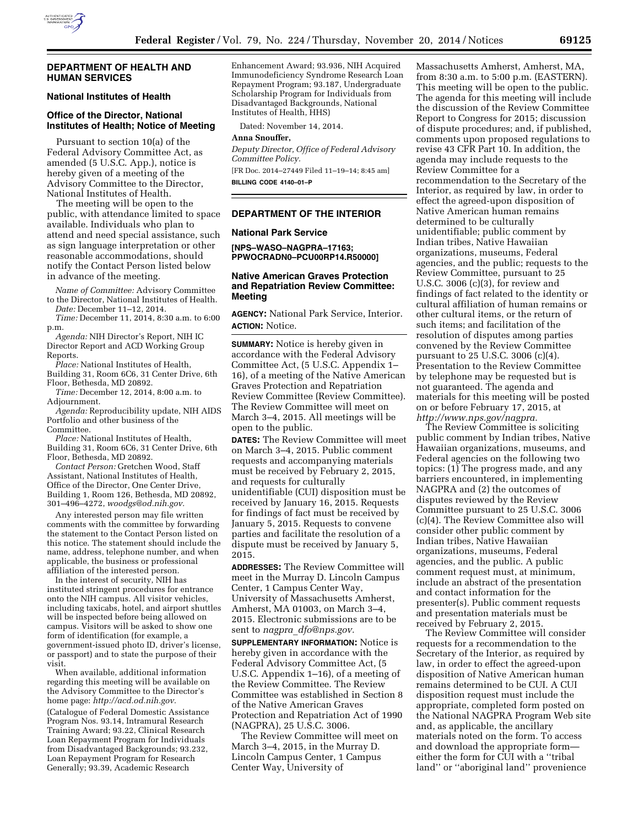

### **DEPARTMENT OF HEALTH AND HUMAN SERVICES**

### **National Institutes of Health**

# **Office of the Director, National Institutes of Health; Notice of Meeting**

Pursuant to section 10(a) of the Federal Advisory Committee Act, as amended (5 U.S.C. App.), notice is hereby given of a meeting of the Advisory Committee to the Director, National Institutes of Health.

The meeting will be open to the public, with attendance limited to space available. Individuals who plan to attend and need special assistance, such as sign language interpretation or other reasonable accommodations, should notify the Contact Person listed below in advance of the meeting.

*Name of Committee:* Advisory Committee to the Director, National Institutes of Health.

*Date:* December 11–12, 2014. *Time:* December 11, 2014, 8:30 a.m. to 6:00 p.m.

*Agenda:* NIH Director's Report, NIH IC Director Report and ACD Working Group Reports.

*Place:* National Institutes of Health, Building 31, Room 6C6, 31 Center Drive, 6th Floor, Bethesda, MD 20892.

*Time:* December 12, 2014, 8:00 a.m. to Adjournment.

*Agenda:* Reproducibility update, NIH AIDS Portfolio and other business of the Committee.

*Place:* National Institutes of Health, Building 31, Room 6C6, 31 Center Drive, 6th Floor, Bethesda, MD 20892.

*Contact Person:* Gretchen Wood, Staff Assistant, National Institutes of Health, Office of the Director, One Center Drive, Building 1, Room 126, Bethesda, MD 20892, 301–496–4272, *[woodgs@od.nih.gov.](mailto:woodgs@od.nih.gov)* 

Any interested person may file written comments with the committee by forwarding the statement to the Contact Person listed on this notice. The statement should include the name, address, telephone number, and when applicable, the business or professional affiliation of the interested person.

In the interest of security, NIH has instituted stringent procedures for entrance onto the NIH campus. All visitor vehicles, including taxicabs, hotel, and airport shuttles will be inspected before being allowed on campus. Visitors will be asked to show one form of identification (for example, a government-issued photo ID, driver's license, or passport) and to state the purpose of their visit.

When available, additional information regarding this meeting will be available on the Advisory Committee to the Director's home page: *[http://acd.od.nih.gov.](http://acd.od.nih.gov)* 

(Catalogue of Federal Domestic Assistance Program Nos. 93.14, Intramural Research Training Award; 93.22, Clinical Research Loan Repayment Program for Individuals from Disadvantaged Backgrounds; 93.232, Loan Repayment Program for Research Generally; 93.39, Academic Research

Enhancement Award; 93.936, NIH Acquired Immunodeficiency Syndrome Research Loan Repayment Program; 93.187, Undergraduate Scholarship Program for Individuals from Disadvantaged Backgrounds, National Institutes of Health, HHS)

Dated: November 14, 2014.

#### **Anna Snouffer,**

*Deputy Director, Office of Federal Advisory Committee Policy.*  [FR Doc. 2014–27449 Filed 11–19–14; 8:45 am]

**BILLING CODE 4140–01–P** 

#### **DEPARTMENT OF THE INTERIOR**

### **National Park Service**

**[NPS–WASO–NAGPRA–17163; PPWOCRADN0–PCU00RP14.R50000]** 

## **Native American Graves Protection and Repatriation Review Committee: Meeting**

**AGENCY:** National Park Service, Interior. **ACTION:** Notice.

**SUMMARY:** Notice is hereby given in accordance with the Federal Advisory Committee Act, (5 U.S.C. Appendix 1– 16), of a meeting of the Native American Graves Protection and Repatriation Review Committee (Review Committee). The Review Committee will meet on March 3–4, 2015. All meetings will be open to the public.

**DATES:** The Review Committee will meet on March 3–4, 2015. Public comment requests and accompanying materials must be received by February 2, 2015, and requests for culturally unidentifiable (CUI) disposition must be received by January 16, 2015. Requests for findings of fact must be received by January 5, 2015. Requests to convene parties and facilitate the resolution of a dispute must be received by January 5, 2015.

**ADDRESSES:** The Review Committee will meet in the Murray D. Lincoln Campus Center, 1 Campus Center Way, University of Massachusetts Amherst, Amherst, MA 01003, on March 3–4, 2015. Electronic submissions are to be sent to *nagpra*\_*[dfo@nps.gov.](mailto:nagpra_dfo@nps.gov)* 

**SUPPLEMENTARY INFORMATION:** Notice is hereby given in accordance with the Federal Advisory Committee Act, (5 U.S.C. Appendix 1–16), of a meeting of the Review Committee. The Review Committee was established in Section 8 of the Native American Graves Protection and Repatriation Act of 1990 (NAGPRA), 25 U.S.C. 3006.

The Review Committee will meet on March 3–4, 2015, in the Murray D. Lincoln Campus Center, 1 Campus Center Way, University of

Massachusetts Amherst, Amherst, MA, from 8:30 a.m. to 5:00 p.m. (EASTERN). This meeting will be open to the public. The agenda for this meeting will include the discussion of the Review Committee Report to Congress for 2015; discussion of dispute procedures; and, if published, comments upon proposed regulations to revise 43 CFR Part 10. In addition, the agenda may include requests to the Review Committee for a recommendation to the Secretary of the Interior, as required by law, in order to effect the agreed-upon disposition of Native American human remains determined to be culturally unidentifiable; public comment by Indian tribes, Native Hawaiian organizations, museums, Federal agencies, and the public; requests to the Review Committee, pursuant to 25 U.S.C. 3006 (c)(3), for review and findings of fact related to the identity or cultural affiliation of human remains or other cultural items, or the return of such items; and facilitation of the resolution of disputes among parties convened by the Review Committee pursuant to 25 U.S.C. 3006 (c)(4). Presentation to the Review Committee by telephone may be requested but is not guaranteed. The agenda and materials for this meeting will be posted on or before February 17, 2015, at *[http://www.nps.gov/nagpra.](http://www.nps.gov/nagpra)* 

The Review Committee is soliciting public comment by Indian tribes, Native Hawaiian organizations, museums, and Federal agencies on the following two topics: (1) The progress made, and any barriers encountered, in implementing NAGPRA and (2) the outcomes of disputes reviewed by the Review Committee pursuant to 25 U.S.C. 3006 (c)(4). The Review Committee also will consider other public comment by Indian tribes, Native Hawaiian organizations, museums, Federal agencies, and the public. A public comment request must, at minimum, include an abstract of the presentation and contact information for the presenter(s). Public comment requests and presentation materials must be received by February 2, 2015.

The Review Committee will consider requests for a recommendation to the Secretary of the Interior, as required by law, in order to effect the agreed-upon disposition of Native American human remains determined to be CUI. A CUI disposition request must include the appropriate, completed form posted on the National NAGPRA Program Web site and, as applicable, the ancillary materials noted on the form. To access and download the appropriate form either the form for CUI with a ''tribal land'' or ''aboriginal land'' provenience